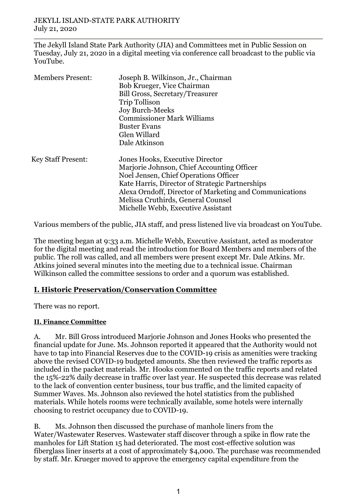The Jekyll Island State Park Authority (JIA) and Committees met in Public Session on Tuesday, July 21, 2020 in a digital meeting via conference call broadcast to the public via YouTube.

| <b>Members Present:</b>   | Joseph B. Wilkinson, Jr., Chairman                      |
|---------------------------|---------------------------------------------------------|
|                           | Bob Krueger, Vice Chairman                              |
|                           | Bill Gross, Secretary/Treasurer                         |
|                           | <b>Trip Tollison</b>                                    |
|                           | <b>Joy Burch-Meeks</b>                                  |
|                           | <b>Commissioner Mark Williams</b>                       |
|                           | <b>Buster Evans</b>                                     |
|                           | Glen Willard                                            |
|                           | Dale Atkinson                                           |
| <b>Key Staff Present:</b> | Jones Hooks, Executive Director                         |
|                           | Marjorie Johnson, Chief Accounting Officer              |
|                           | Noel Jensen, Chief Operations Officer                   |
|                           | Kate Harris, Director of Strategic Partnerships         |
|                           | Alexa Orndoff, Director of Marketing and Communications |
|                           | Melissa Cruthirds, General Counsel                      |
|                           | Michelle Webb, Executive Assistant                      |

Various members of the public, JIA staff, and press listened live via broadcast on YouTube.

The meeting began at 9:33 a.m. Michelle Webb, Executive Assistant, acted as moderator for the digital meeting and read the introduction for Board Members and members of the public. The roll was called, and all members were present except Mr. Dale Atkins. Mr. Atkins joined several minutes into the meeting due to a technical issue. Chairman Wilkinson called the committee sessions to order and a quorum was established.

## **I. Historic Preservation/Conservation Committee**

There was no report.

## **II. Finance Committee**

A. Mr. Bill Gross introduced Marjorie Johnson and Jones Hooks who presented the financial update for June. Ms. Johnson reported it appeared that the Authority would not have to tap into Financial Reserves due to the COVID-19 crisis as amenities were tracking above the revised COVID-19 budgeted amounts. She then reviewed the traffic reports as included in the packet materials. Mr. Hooks commented on the traffic reports and related the 15%-22% daily decrease in traffic over last year. He suspected this decrease was related to the lack of convention center business, tour bus traffic, and the limited capacity of Summer Waves. Ms. Johnson also reviewed the hotel statistics from the published materials. While hotels rooms were technically available, some hotels were internally choosing to restrict occupancy due to COVID-19.

B. Ms. Johnson then discussed the purchase of manhole liners from the Water/Wastewater Reserves. Wastewater staff discover through a spike in flow rate the manholes for Lift Station 15 had deteriorated. The most cost-effective solution was fiberglass liner inserts at a cost of approximately \$4,000. The purchase was recommended by staff. Mr. Krueger moved to approve the emergency capital expenditure from the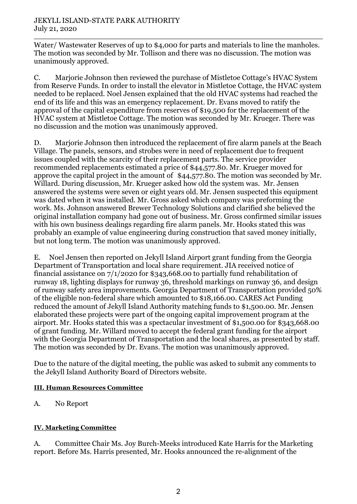Water/Wastewater Reserves of up to \$4,000 for parts and materials to line the manholes. The motion was seconded by Mr. Tollison and there was no discussion. The motion was unanimously approved.

C. Marjorie Johnson then reviewed the purchase of Mistletoe Cottage's HVAC System from Reserve Funds. In order to install the elevator in Mistletoe Cottage, the HVAC system needed to be replaced. Noel Jensen explained that the old HVAC systems had reached the end of its life and this was an emergency replacement. Dr. Evans moved to ratify the approval of the capital expenditure from reserves of \$19,500 for the replacement of the HVAC system at Mistletoe Cottage. The motion was seconded by Mr. Krueger. There was no discussion and the motion was unanimously approved.

D. Marjorie Johnson then introduced the replacement of fire alarm panels at the Beach Village. The panels, sensors, and strobes were in need of replacement due to frequent issues coupled with the scarcity of their replacement parts. The service provider recommended replacements estimated a price of \$44,577.80. Mr. Krueger moved for approve the capital project in the amount of \$44,577.80. The motion was seconded by Mr. Willard. During discussion, Mr. Krueger asked how old the system was. Mr. Jensen answered the systems were seven or eight years old. Mr. Jensen suspected this equipment was dated when it was installed. Mr. Gross asked which company was preforming the work. Ms. Johnson answered Brewer Technology Solutions and clarified she believed the original installation company had gone out of business. Mr. Gross confirmed similar issues with his own business dealings regarding fire alarm panels. Mr. Hooks stated this was probably an example of value engineering during construction that saved money initially, but not long term. The motion was unanimously approved.

E. Noel Jensen then reported on Jekyll Island Airport grant funding from the Georgia Department of Transportation and local share requirement. JIA received notice of financial assistance on 7/1/2020 for \$343,668.00 to partially fund rehabilitation of runway 18, lighting displays for runway 36, threshold markings on runway 36, and design of runway safety area improvements. Georgia Department of Transportation provided 50% of the eligible non-federal share which amounted to \$18,166.00. CARES Act Funding reduced the amount of Jekyll Island Authority matching funds to \$1,500.00. Mr. Jensen elaborated these projects were part of the ongoing capital improvement program at the airport. Mr. Hooks stated this was a spectacular investment of \$1,500.00 for \$343,668.00 of grant funding. Mr. Willard moved to accept the federal grant funding for the airport with the Georgia Department of Transportation and the local shares, as presented by staff. The motion was seconded by Dr. Evans. The motion was unanimously approved.

Due to the nature of the digital meeting, the public was asked to submit any comments to the Jekyll Island Authority Board of Directors website.

## **III. Human Resources Committee**

A. No Report

# **IV. Marketing Committee**

A. Committee Chair Ms. Joy Burch-Meeks introduced Kate Harris for the Marketing report. Before Ms. Harris presented, Mr. Hooks announced the re-alignment of the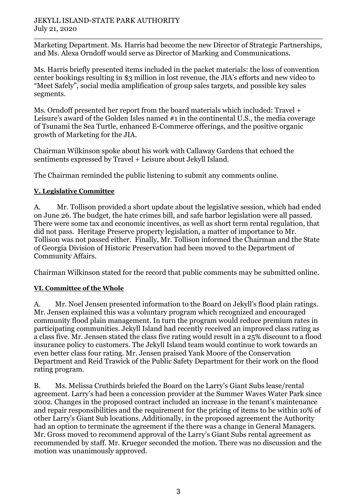### JEKYLL ISLAND-STATE PARK AUTHORITY July 21, 2020

Marketing Department. Ms. Harris had become the new Director of Strategic Partnerships, and Ms. Alexa Orndoff would serve as Director of Marking and Communications.

Ms. Harris briefly presented items included in the packet materials: the loss of convention center bookings resulting in \$3 million in lost revenue, the JIA's efforts and new video to "Meet Safely", social media amplification of group sales targets, and possible key sales segments.

Ms. Orndoff presented her report from the board materials which included: Travel + Leisure's award of the Golden Isles named #1 in the continental U.S., the media coverage of Tsunami the Sea Turtle, enhanced E-Commerce offerings, and the positive organic growth of Marketing for the JIA.

Chairman Wilkinson spoke about his work with Callaway Gardens that echoed the sentiments expressed by Travel + Leisure about Jekyll Island.

The Chairman reminded the public listening to submit any comments online.

## **V. Legislative Committee**

A. Mr. Tollison provided a short update about the legislative session, which had ended on June 26. The budget, the hate crimes bill, and safe harbor legislation were all passed. There were some tax and economic incentives, as well as short term rental regulation, that did not pass. Heritage Preserve property legislation, a matter of importance to Mr. Tollison was not passed either. Finally, Mr. Tollison informed the Chairman and the State of Georgia Division of Historic Preservation had been moved to the Department of Community Affairs.

Chairman Wilkinson stated for the record that public comments may be submitted online.

# **VI. Committee of the Whole**

A. Mr. Noel Jensen presented information to the Board on Jekyll's flood plain ratings. Mr. Jensen explained this was a voluntary program which recognized and encouraged community flood plain management. In turn the program would reduce premium rates in participating communities. Jekyll Island had recently received an improved class rating as a class five. Mr. Jensen stated the class five rating would result in a 25% discount to a flood insurance policy to customers. The Jekyll Island team would continue to work towards an even better class four rating. Mr. Jensen praised Yank Moore of the Conservation Department and Reid Trawick of the Public Safety Department for their work on the flood rating program.

B. Ms. Melissa Cruthirds briefed the Board on the Larry's Giant Subs lease/rental agreement. Larry's had been a concession provider at the Summer Waves Water Park since 2002. Changes in the proposed contract included an increase in the tenant's maintenance and repair responsibilities and the requirement for the pricing of items to be within 10% of other Larry's Giant Sub locations. Additionally, in the proposed agreement the Authority had an option to terminate the agreement if the there was a change in General Managers. Mr. Gross moved to recommend approval of the Larry's Giant Subs rental agreement as recommended by staff. Mr. Krueger seconded the motion. There was no discussion and the motion was unanimously approved.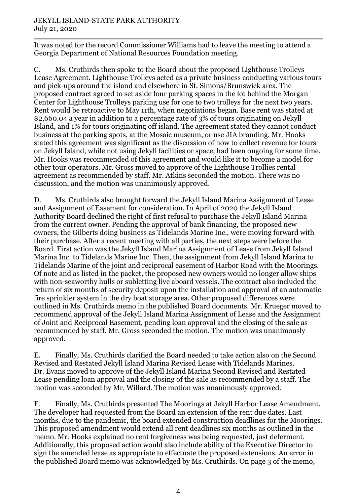### JEKYLL ISLAND-STATE PARK AUTHORITY July 21, 2020

It was noted for the record Commissioner Williams had to leave the meeting to attend a Georgia Department of National Resources Foundation meeting.

C. Ms. Cruthirds then spoke to the Board about the proposed Lighthouse Trolleys Lease Agreement. Lighthouse Trolleys acted as a private business conducting various tours and pick-ups around the island and elsewhere in St. Simons/Brunswick area. The proposed contract agreed to set aside four parking spaces in the lot behind the Morgan Center for Lighthouse Trolleys parking use for one to two trolleys for the next two years. Rent would be retroactive to May 11th, when negotiations began. Base rent was stated at \$2,660.04 a year in addition to a percentage rate of 3% of tours originating on Jekyll Island, and 1% for tours originating off island. The agreement stated they cannot conduct business at the parking spots, at the Mosaic museum, or use JIA branding. Mr. Hooks stated this agreement was significant as the discussion of how to collect revenue for tours on Jekyll Island, while not using Jekyll facilities or space, had been ongoing for some time. Mr. Hooks was recommended of this agreement and would like it to become a model for other tour operators. Mr. Gross moved to approve of the Lighthouse Trollies rental agreement as recommended by staff. Mr. Atkins seconded the motion. There was no discussion, and the motion was unanimously approved.

D. Ms. Cruthirds also brought forward the Jekyll Island Marina Assignment of Lease and Assignment of Easement for consideration. In April of 2020 the Jekyll Island Authority Board declined the right of first refusal to purchase the Jekyll Island Marina from the current owner. Pending the approval of bank financing, the proposed new owners, the Gilberts doing business as Tidelands Marine Inc., were moving forward with their purchase. After a recent meeting with all parties, the next steps were before the Board. First action was the Jekyll Island Marina Assignment of Lease from Jekyll Island Marina Inc. to Tidelands Marine Inc. Then, the assignment from Jekyll Island Marina to Tidelands Marine of the joint and reciprocal easement of Harbor Road with the Moorings. Of note and as listed in the packet, the proposed new owners would no longer allow ships with non-seaworthy hulls or subletting live aboard vessels. The contract also included the return of six months of security deposit upon the installation and approval of an automatic fire sprinkler system in the dry boat storage area. Other proposed differences were outlined in Ms. Cruthirds memo in the published Board documents. Mr. Krueger moved to recommend approval of the Jekyll Island Marina Assignment of Lease and the Assignment of Joint and Reciprocal Easement, pending loan approval and the closing of the sale as recommended by staff. Mr. Gross seconded the motion. The motion was unanimously approved.

E. Finally, Ms. Cruthirds clarified the Board needed to take action also on the Second Revised and Restated Jekyll Island Marina Revised Lease with Tidelands Marines. Dr. Evans moved to approve of the Jekyll Island Marina Second Revised and Restated Lease pending loan approval and the closing of the sale as recommended by a staff. The motion was seconded by Mr. Willard. The motion was unanimously approved.

F. Finally, Ms. Cruthirds presented The Moorings at Jekyll Harbor Lease Amendment. The developer had requested from the Board an extension of the rent due dates. Last months, due to the pandemic, the board extended construction deadlines for the Moorings. This proposed amendment would extend all rent deadlines six months as outlined in the memo. Mr. Hooks explained no rent forgiveness was being requested, just deferment. Additionally, this proposed action would also include ability of the Executive Director to sign the amended lease as appropriate to effectuate the proposed extensions. An error in the published Board memo was acknowledged by Ms. Cruthirds. On page 3 of the memo,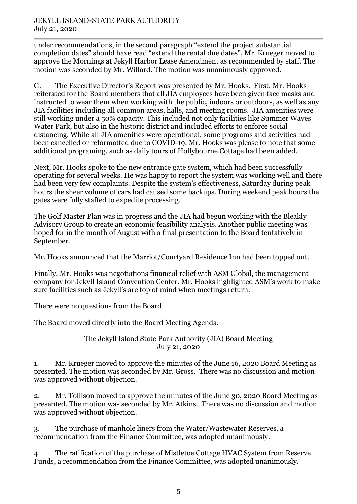### JEKYLL ISLAND-STATE PARK AUTHORITY July 21, 2020

under recommendations, in the second paragraph "extend the project substantial completion dates" should have read "extend the rental due dates". Mr. Krueger moved to approve the Mornings at Jekyll Harbor Lease Amendment as recommended by staff. The motion was seconded by Mr. Willard. The motion was unanimously approved.

G. The Executive Director's Report was presented by Mr. Hooks. First, Mr. Hooks reiterated for the Board members that all JIA employees have been given face masks and instructed to wear them when working with the public, indoors or outdoors, as well as any JIA facilities including all common areas, halls, and meeting rooms. JIA amenities were still working under a 50% capacity. This included not only facilities like Summer Waves Water Park, but also in the historic district and included efforts to enforce social distancing. While all JIA amenities were operational, some programs and activities had been cancelled or reformatted due to COVID-19. Mr. Hooks was please to note that some additional programing, such as daily tours of Hollybourne Cottage had been added.

Next, Mr. Hooks spoke to the new entrance gate system, which had been successfully operating for several weeks. He was happy to report the system was working well and there had been very few complaints. Despite the system's effectiveness, Saturday during peak hours the sheer volume of cars had caused some backups. During weekend peak hours the gates were fully staffed to expedite processing.

The Golf Master Plan was in progress and the JIA had begun working with the Bleakly Advisory Group to create an economic feasibility analysis. Another public meeting was hoped for in the month of August with a final presentation to the Board tentatively in September.

Mr. Hooks announced that the Marriot/Courtyard Residence Inn had been topped out.

Finally, Mr. Hooks was negotiations financial relief with ASM Global, the management company for Jekyll Island Convention Center. Mr. Hooks highlighted ASM's work to make sure facilities such as Jekyll's are top of mind when meetings return.

There were no questions from the Board

The Board moved directly into the Board Meeting Agenda.

### The Jekyll Island State Park Authority (JIA) Board Meeting July 21, 2020

1. Mr. Krueger moved to approve the minutes of the June 16, 2020 Board Meeting as presented. The motion was seconded by Mr. Gross. There was no discussion and motion was approved without objection.

2. Mr. Tollison moved to approve the minutes of the June 30, 2020 Board Meeting as presented. The motion was seconded by Mr. Atkins. There was no discussion and motion was approved without objection.

3. The purchase of manhole liners from the Water/Wastewater Reserves, a recommendation from the Finance Committee, was adopted unanimously.

4. The ratification of the purchase of Mistletoe Cottage HVAC System from Reserve Funds, a recommendation from the Finance Committee, was adopted unanimously.